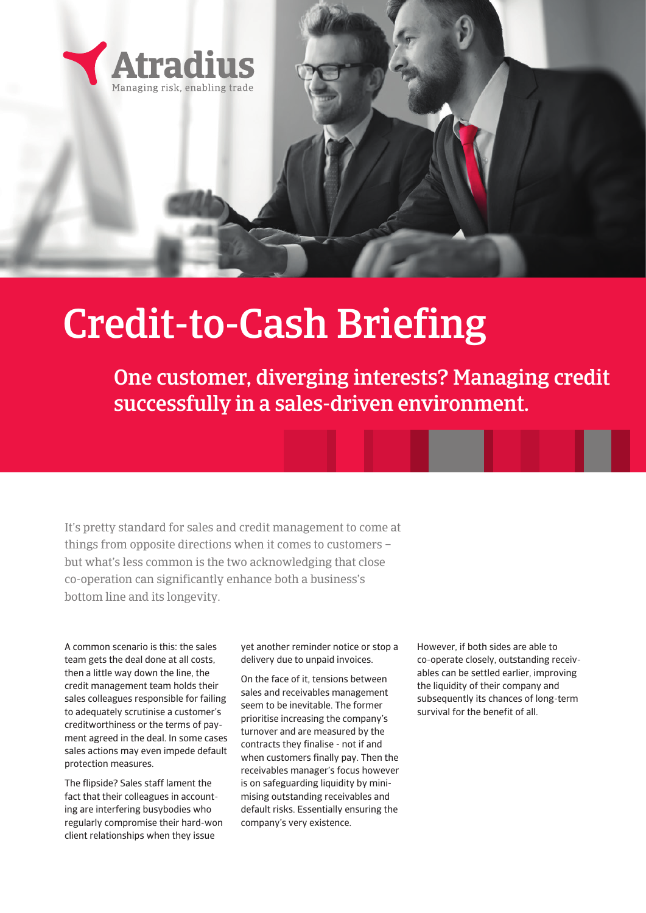

# Credit-to-Cash Briefing

One customer, diverging interests? Managing credit successfully in a sales-driven environment.

It's pretty standard for sales and credit management to come at things from opposite directions when it comes to customers – but what's less common is the two acknowledging that close co-operation can significantly enhance both a business's bottom line and its longevity.

A common scenario is this: the sales team gets the deal done at all costs, then a little way down the line, the credit management team holds their sales colleagues responsible for failing to adequately scrutinise a customer's creditworthiness or the terms of payment agreed in the deal. In some cases sales actions may even impede default protection measures.

The flipside? Sales staff lament the fact that their colleagues in accounting are interfering busybodies who regularly compromise their hard-won client relationships when they issue

yet another reminder notice or stop a delivery due to unpaid invoices.

On the face of it, tensions between sales and receivables management seem to be inevitable. The former prioritise increasing the company's turnover and are measured by the contracts they finalise - not if and when customers finally pay. Then the receivables manager's focus however is on safeguarding liquidity by minimising outstanding receivables and default risks. Essentially ensuring the company's very existence.

However, if both sides are able to co-operate closely, outstanding receivables can be settled earlier, improving the liquidity of their company and subsequently its chances of long-term survival for the benefit of all.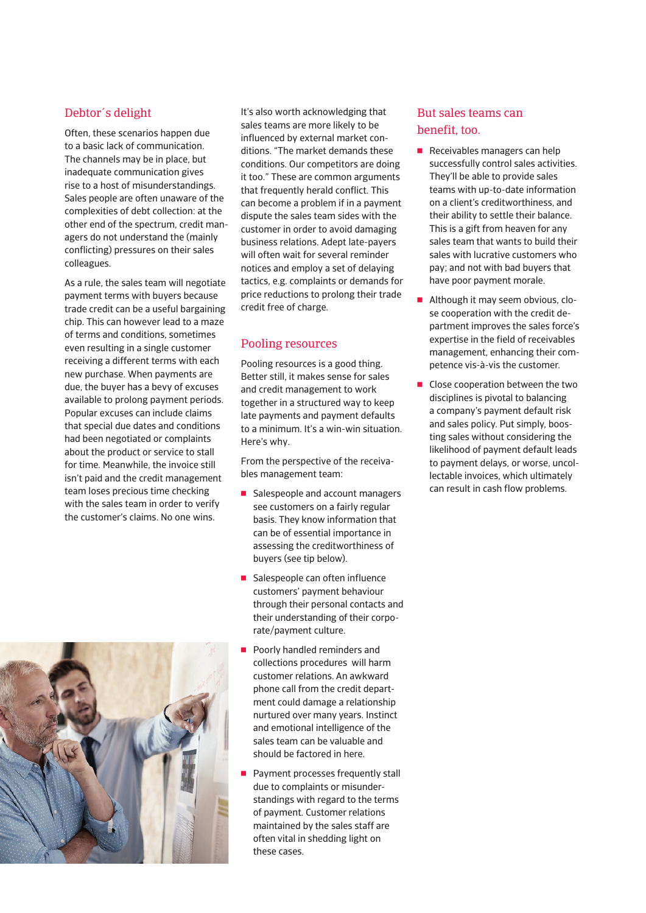#### Debtor´s delight

Often, these scenarios happen due to a basic lack of communication. The channels may be in place, but inadequate communication gives rise to a host of misunderstandings. Sales people are often unaware of the complexities of debt collection: at the other end of the spectrum, credit managers do not understand the (mainly conflicting) pressures on their sales colleagues.

As a rule, the sales team will negotiate payment terms with buyers because trade credit can be a useful bargaining chip. This can however lead to a maze of terms and conditions, sometimes even resulting in a single customer receiving a different terms with each new purchase. When payments are due, the buyer has a bevy of excuses available to prolong payment periods. Popular excuses can include claims that special due dates and conditions had been negotiated or complaints about the product or service to stall for time. Meanwhile, the invoice still isn't paid and the credit management team loses precious time checking with the sales team in order to verify the customer's claims. No one wins.



It's also worth acknowledging that sales teams are more likely to be influenced by external market conditions. "The market demands these conditions. Our competitors are doing it too." These are common arguments that frequently herald conflict. This can become a problem if in a payment dispute the sales team sides with the customer in order to avoid damaging business relations. Adept late-payers will often wait for several reminder notices and employ a set of delaying tactics, e.g. complaints or demands for price reductions to prolong their trade credit free of charge.

#### Pooling resources

Pooling resources is a good thing. Better still, it makes sense for sales and credit management to work together in a structured way to keep late payments and payment defaults to a minimum. It's a win-win situation. Here's why.

From the perspective of the receivables management team:

- Salespeople and account managers see customers on a fairly regular basis. They know information that can be of essential importance in assessing the creditworthiness of buyers (see tip below).
- $\blacksquare$  Salespeople can often influence customers' payment behaviour through their personal contacts and their understanding of their corporate/payment culture.
- Poorly handled reminders and collections procedures will harm customer relations. An awkward phone call from the credit department could damage a relationship nurtured over many years. Instinct and emotional intelligence of the sales team can be valuable and should be factored in here.
- **Payment processes frequently stall** due to complaints or misunderstandings with regard to the terms of payment. Customer relations maintained by the sales staff are often vital in shedding light on these cases.

#### But sales teams can benefit, too.

- $\blacksquare$  Receivables managers can help successfully control sales activities. They'll be able to provide sales teams with up-to-date information on a client's creditworthiness, and their ability to settle their balance. This is a gift from heaven for any sales team that wants to build their sales with lucrative customers who pay; and not with bad buyers that have poor payment morale.
- Although it may seem obvious, close cooperation with the credit department improves the sales force's expertise in the field of receivables management, enhancing their competence vis-à-vis the customer.
- $\blacksquare$  Close cooperation between the two disciplines is pivotal to balancing a company's payment default risk and sales policy. Put simply, boosting sales without considering the likelihood of payment default leads to payment delays, or worse, uncollectable invoices, which ultimately can result in cash flow problems.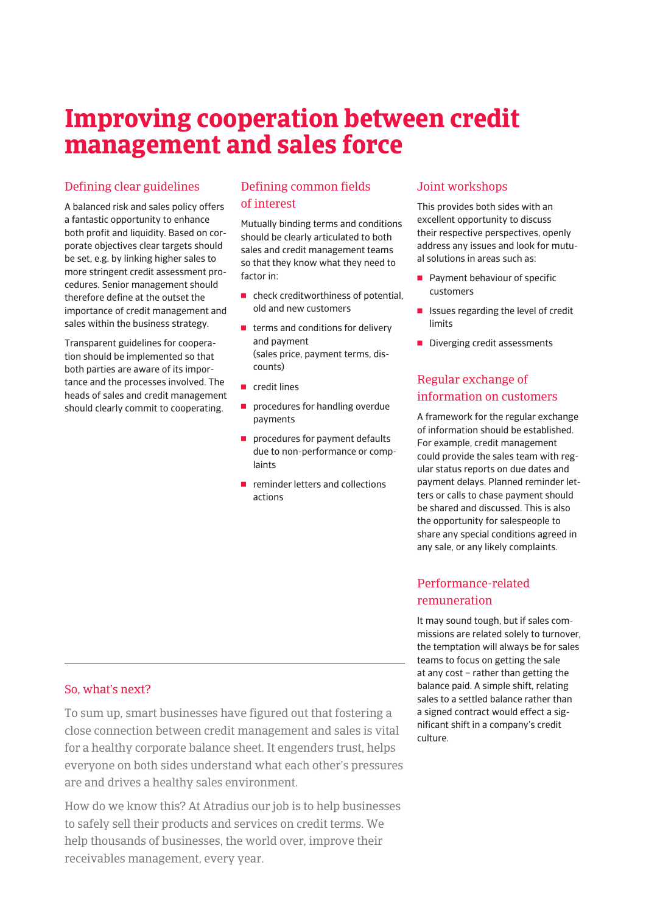## **Improving cooperation between credit management and sales force**

#### Defining clear guidelines

A balanced risk and sales policy offers a fantastic opportunity to enhance both profit and liquidity. Based on corporate objectives clear targets should be set, e.g. by linking higher sales to more stringent credit assessment procedures. Senior management should therefore define at the outset the importance of credit management and sales within the business strategy.

Transparent guidelines for cooperation should be implemented so that both parties are aware of its importance and the processes involved. The heads of sales and credit management should clearly commit to cooperating.

#### Defining common fields of interest

Mutually binding terms and conditions should be clearly articulated to both sales and credit management teams so that they know what they need to factor in:

- $\blacksquare$  check creditworthiness of potential, old and new customers
- $\blacksquare$  terms and conditions for delivery and payment (sales price, payment terms, discounts)
- $\blacksquare$  credit lines
- **Part procedures for handling overdue** payments
- procedures for payment defaults due to non-performance or complaints
- $\blacksquare$  reminder letters and collections actions

#### Joint workshops

This provides both sides with an excellent opportunity to discuss their respective perspectives, openly address any issues and look for mutual solutions in areas such as:

- $\blacksquare$  Payment behaviour of specific customers
- **F** Issues regarding the level of credit limits
- **Part Diverging credit assessments**

#### Regular exchange of information on customers

A framework for the regular exchange of information should be established. For example, credit management could provide the sales team with regular status reports on due dates and payment delays. Planned reminder letters or calls to chase payment should be shared and discussed. This is also the opportunity for salespeople to share any special conditions agreed in any sale, or any likely complaints.

#### Performance-related remuneration

It may sound tough, but if sales commissions are related solely to turnover, the temptation will always be for sales teams to focus on getting the sale at any cost – rather than getting the balance paid. A simple shift, relating sales to a settled balance rather than a signed contract would effect a significant shift in a company's credit culture.

#### So, what's next?

To sum up, smart businesses have figured out that fostering a close connection between credit management and sales is vital for a healthy corporate balance sheet. It engenders trust, helps everyone on both sides understand what each other's pressures are and drives a healthy sales environment.

How do we know this? At Atradius our job is to help businesses to safely sell their products and services on credit terms. We help thousands of businesses, the world over, improve their receivables management, every year.